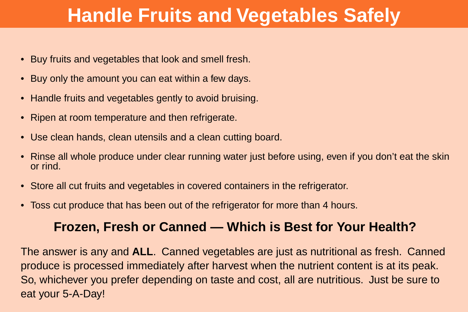# **Handle Fruits and Vegetables Safely**

- Buy fruits and vegetables that look and smell fresh.
- Buy only the amount you can eat within a few days.
- Handle fruits and vegetables gently to avoid bruising.
- Ripen at room temperature and then refrigerate.
- Use clean hands, clean utensils and a clean cutting board.
- Rinse all whole produce under clear running water just before using, even if you don't eat the skin or rind.
- Store all cut fruits and vegetables in covered containers in the refrigerator.
- Toss cut produce that has been out of the refrigerator for more than 4 hours.

### **Frozen, Fresh or Canned — Which is Best for Your Health?**

The answer is any and **ALL**. Canned vegetables are just as nutritional as fresh. Canned produce is processed immediately after harvest when the nutrient content is at its peak. So, whichever you prefer depending on taste and cost, all are nutritious. Just be sure to eat your 5-A-Day!